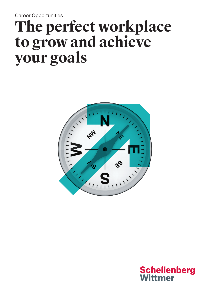Career Opportunities

# **The perfect workplace to grow and achieve your goals**



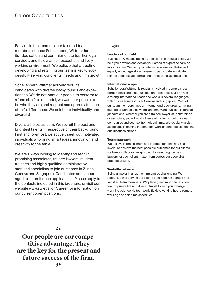Early on in their careers, our talented team members choose Schellenberg Wittmer for its dedication and commitment to top-tier legal services, and its dynamic, respectful and lively working environment. We believe that attracting, developing and retaining our team is key to successfully serving our clients' needs and firm growth.

Schellenberg Wittmer actively recruits candidates with diverse backgrounds and experiences. We do not want our people to conform to a 'one size fits all' model; we want our people to be who they are and respect and appreciate each other's differences. We celebrate individuality and diversity!

Diversity helps us learn. We recruit the best and brightest talents, irrespective of their background. First and foremost, we actively seek out motivated individuals who bring smart ideas, innovation and creativity to the table.

We are always looking to identify and recruit promising associates, trainee lawyers, student trainees and highly qualified administrative staff and specialists to join our teams in Zurich, Geneva and Singapore. Candidates are encouraged to submit open applications. Please apply to the contacts indicated in this brochure, or visit our website www.swlegal.ch/career for information on our current open positions.

# Lawyers

# **Leaders of our field**

Business law means being a specialist in particular fields. We help you develop and decide your areas of expertise early on in your career. We help you determine where you thrive and equally encourage all our lawyers to participate in industry related fields like academia and professional associations.

## **International scope**

Schellenberg Wittmer is regularly involved in comple crossborder deals and multi-jurisdictional disputes. Our firm has a strong international reach and works in several languages with offices across Zurich, Geneva and Singapore. Most of our team members have an international background, having studied or worked elsewhere, and many are qualified in foreign jurisdictions. Whether you are a trainee lawyer, student trainee or associate, you will work closely with client's multinational companies and counsel from global firms. We regularly assist associates in gaining international work experience and gaining qualifications abroad.

#### **Team approach**

We believe in brains, merit and independent thinking at all levels. To achieve the best possible outcomes for our clients, we take a collaborative approach by selecting the best lawyers for each client matter from across our specialist practice groups.

#### **Work-life balance**

Being a lawyer in a top-tier firm can be challenging. We recognize that serving our clients best requires content and satisfied team members. We place great importance on our team's private life and do our utmost to help you manage work-life balance via teamwork, flexible working hours, remote working and part-time schedules.

**" Our people are our competitive advantage. They are the key for the present and future success of the firm.**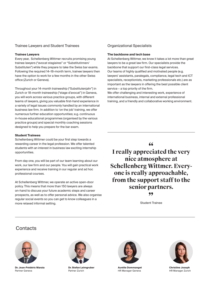# Trainee Lawyers and Student Trainees

### **Trainee Lawyers**

Every year, Schellenberg Wittmer recruits promising young trainee lawyers ("avocat stagiaires" or "Substitutinnen/ Substituten") while they prepare to take the Swiss bar exams. Following the required 14–18-month term, trainee lawyers then have the option to work for a few months in the other Swiss office (Zurich or Geneva).

Throughout your 14-month traineeship ("Substitutenjahr") in Zurich or 18-month traineeship ("stage d'avocat") in Geneva, you will work across various practice groups, with different teams of lawyers, giving you valuable first-hand experience in a variety of legal issues commonly handled by an international business law firm. In addition to 'on the job' training, we offer numerous further education opportunities; e.g. continuous in-house educational programmes (organised by the various practice groups) and special monthly coaching sessions designed to help you prepare for the bar exam.

#### **Student Trainees**

Schellenberg Wittmer could be your first step towards a rewarding career in the legal profession. We offer talented students with an interest in business law exciting internship opportunities.

From day one, you will be part of our team learning about our work, our law firm and our people. You will gain practical work experience and receive training in our regular and ad hoc professional courses.

At Schellenberg Wittmer, we operate an active open-door policy. This means that more than 150 lawyers are always on-hand to discuss your future academic steps and career prospects, as well as to offer personal advice. We also organise regular social events so you can get to know colleagues in a more relaxed informal setting.

# Organizational Specialists

#### **The backbone and tech base**

At Schellenberg Wittmer, we know it takes a lot more than great lawyers to be a great law firm. Our specialists provide the backbone that support our first-class legal services. Our teams of highly qualified and motivated people (e.g. lawyers' assistants, paralegals, compliance, legal tech and ICT specialists, receptionists, marketing professionals etc.) are as important as the lawyers in offering the best possible client service – a top priority of the firm.

We offer challenging and interesting work, experience of international business, internal and external professional training, and a friendly and collaborative working environment.

**" I really appreciated the very nice atmosphere at Schellenberg Wittmer. Everyone is really approachable, from the support staff to the senior partners. "**

Student Trainee

# **Contacts**



**Dr. Jean-Frédéric Maraia** Partner Geneva



**Dr. Stefan Leimgruber** Partner Zurich



**Aurélie Dommanget** HR Manager Geneva



**Christine Joseph** HR Manager Zurich